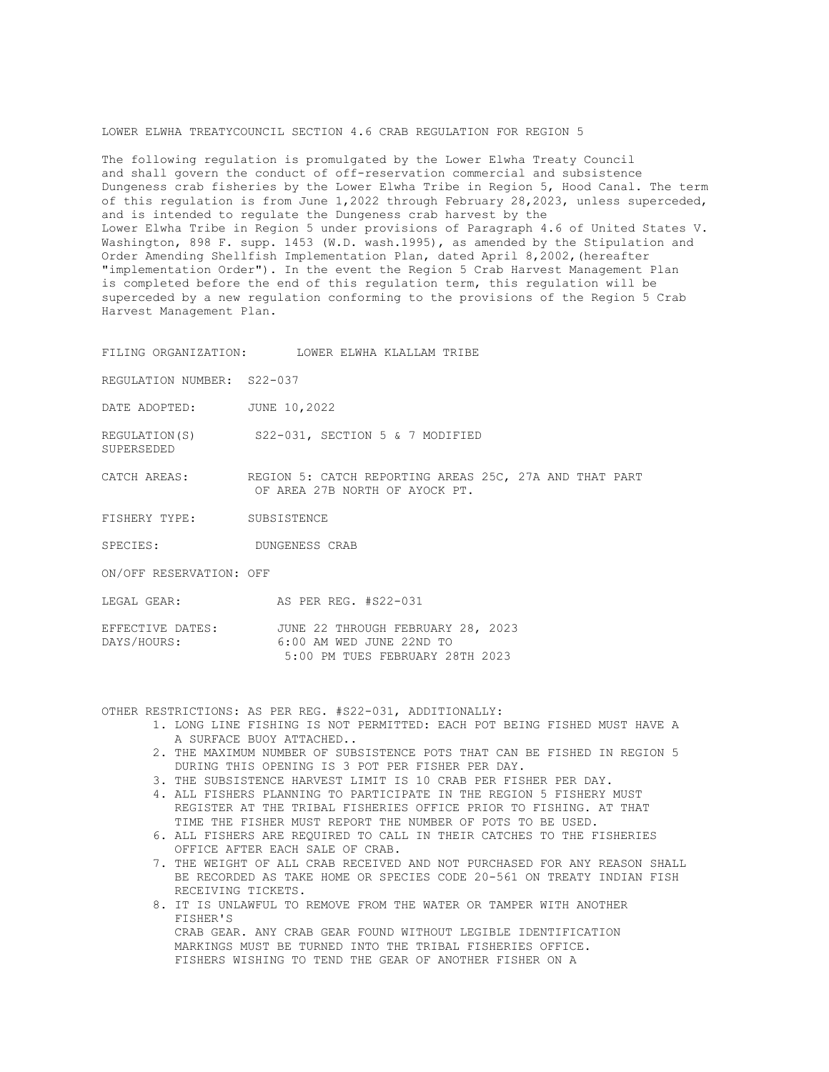## LOWER ELWHA TREATYCOUNCIL SECTION 4.6 CRAB REGULATION FOR REGION 5

The following regulation is promulgated by the Lower Elwha Treaty Council and shall govern the conduct of off-reservation commercial and subsistence Dungeness crab fisheries by the Lower Elwha Tribe in Region 5, Hood Canal. The term of this regulation is from June 1,2022 through February 28,2023, unless superceded, and is intended to regulate the Dungeness crab harvest by the Lower Elwha Tribe in Region 5 under provisions of Paragraph 4.6 of United States V. Washington, 898 F. supp. 1453 (W.D. wash.1995), as amended by the Stipulation and Order Amending Shellfish Implementation Plan, dated April 8,2002,(hereafter "implementation Order"). In the event the Region 5 Crab Harvest Management Plan is completed before the end of this regulation term, this regulation will be superceded by a new regulation conforming to the provisions of the Region 5 Crab Harvest Management Plan.

FILING ORGANIZATION: LOWER ELWHA KLALLAM TRIBE

REGULATION NUMBER: S22-037

DATE ADOPTED: JUNE 10,2022

REGULATION(S) S22-031, SECTION 5 & 7 MODIFIED

CATCH AREAS: REGION 5: CATCH REPORTING AREAS 25C, 27A AND THAT PART OF AREA 27B NORTH OF AYOCK PT.

FISHERY TYPE: SUBSISTENCE

SPECIES: DUNGENESS CRAB

ON/OFF RESERVATION: OFF

SUPERSEDED

LEGAL GEAR: AS PER REG. #S22-031

| EFFECTIVE DATES: |  |  | JUNE 22 THROUGH FEBRUARY 28, 2023 |  |  |
|------------------|--|--|-----------------------------------|--|--|
| DAYS/HOURS:      |  |  | 6:00 AM WED JUNE 22ND TO          |  |  |
|                  |  |  | 5:00 PM TUES FEBRUARY 28TH 2023   |  |  |

OTHER RESTRICTIONS: AS PER REG. #S22-031, ADDITIONALLY:

- 1. LONG LINE FISHING IS NOT PERMITTED: EACH POT BEING FISHED MUST HAVE A A SURFACE BUOY ATTACHED..
- 2. THE MAXIMUM NUMBER OF SUBSISTENCE POTS THAT CAN BE FISHED IN REGION 5 DURING THIS OPENING IS 3 POT PER FISHER PER DAY.
- 3. THE SUBSISTENCE HARVEST LIMIT IS 10 CRAB PER FISHER PER DAY.
- 4. ALL FISHERS PLANNING TO PARTICIPATE IN THE REGION 5 FISHERY MUST REGISTER AT THE TRIBAL FISHERIES OFFICE PRIOR TO FISHING. AT THAT TIME THE FISHER MUST REPORT THE NUMBER OF POTS TO BE USED.
- 6. ALL FISHERS ARE REQUIRED TO CALL IN THEIR CATCHES TO THE FISHERIES OFFICE AFTER EACH SALE OF CRAB.
- 7. THE WEIGHT OF ALL CRAB RECEIVED AND NOT PURCHASED FOR ANY REASON SHALL BE RECORDED AS TAKE HOME OR SPECIES CODE 20-561 ON TREATY INDIAN FISH RECEIVING TICKETS.
- 8. IT IS UNLAWFUL TO REMOVE FROM THE WATER OR TAMPER WITH ANOTHER FISHER'S CRAB GEAR. ANY CRAB GEAR FOUND WITHOUT LEGIBLE IDENTIFICATION MARKINGS MUST BE TURNED INTO THE TRIBAL FISHERIES OFFICE. FISHERS WISHING TO TEND THE GEAR OF ANOTHER FISHER ON A